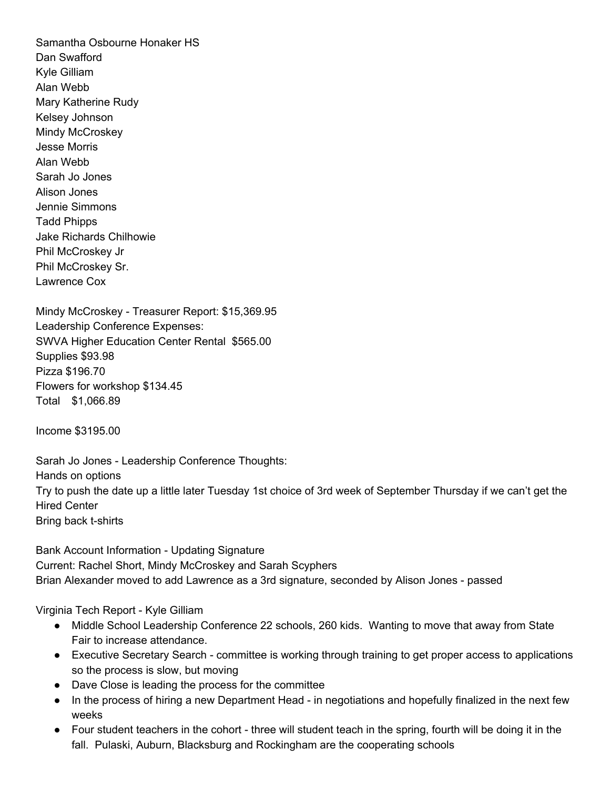Samantha Osbourne Honaker HS Dan Swafford Kyle Gilliam Alan Webb Mary Katherine Rudy Kelsey Johnson Mindy McCroskey Jesse Morris Alan Webb Sarah Jo Jones Alison Jones Jennie Simmons Tadd Phipps Jake Richards Chilhowie Phil McCroskey Jr Phil McCroskey Sr. Lawrence Cox

Mindy McCroskey - Treasurer Report: \$15,369.95 Leadership Conference Expenses: SWVA Higher Education Center Rental \$565.00 Supplies \$93.98 Pizza \$196.70 Flowers for workshop \$134.45 Total \$1,066.89

Income \$3195.00

Sarah Jo Jones - Leadership Conference Thoughts: Hands on options Try to push the date up a little later Tuesday 1st choice of 3rd week of September Thursday if we can't get the Hired Center Bring back t-shirts

Bank Account Information - Updating Signature Current: Rachel Short, Mindy McCroskey and Sarah Scyphers Brian Alexander moved to add Lawrence as a 3rd signature, seconded by Alison Jones - passed

Virginia Tech Report - Kyle Gilliam

- Middle School Leadership Conference 22 schools, 260 kids. Wanting to move that away from State Fair to increase attendance.
- Executive Secretary Search committee is working through training to get proper access to applications so the process is slow, but moving
- Dave Close is leading the process for the committee
- In the process of hiring a new Department Head in negotiations and hopefully finalized in the next few weeks
- Four student teachers in the cohort three will student teach in the spring, fourth will be doing it in the fall. Pulaski, Auburn, Blacksburg and Rockingham are the cooperating schools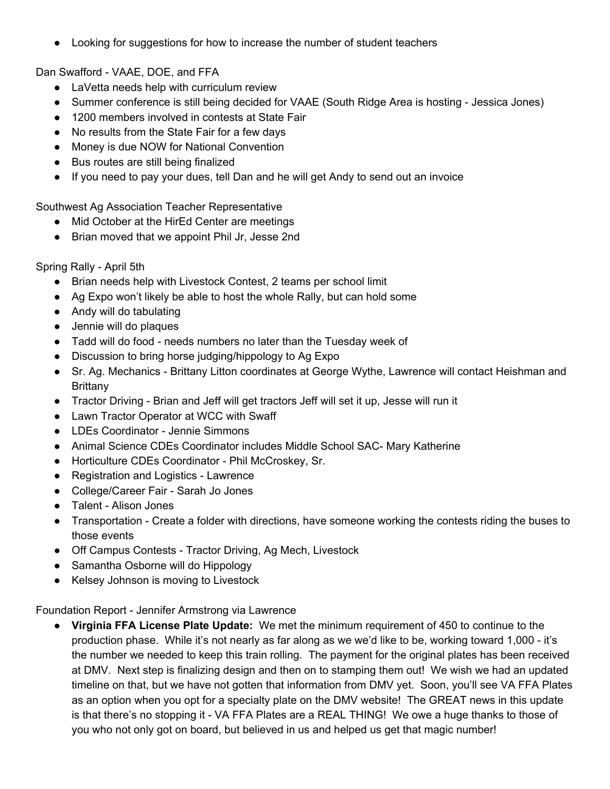● Looking for suggestions for how to increase the number of student teachers

Dan Swafford - VAAE, DOE, and FFA

- LaVetta needs help with curriculum review
- Summer conference is still being decided for VAAE (South Ridge Area is hosting Jessica Jones)
- 1200 members involved in contests at State Fair
- No results from the State Fair for a few days
- Money is due NOW for National Convention
- Bus routes are still being finalized
- If you need to pay your dues, tell Dan and he will get Andy to send out an invoice

Southwest Ag Association Teacher Representative

- Mid October at the HirEd Center are meetings
- Brian moved that we appoint Phil Jr, Jesse 2nd

Spring Rally - April 5th

- Brian needs help with Livestock Contest, 2 teams per school limit
- Ag Expo won't likely be able to host the whole Rally, but can hold some
- Andy will do tabulating
- Jennie will do plaques
- Tadd will do food needs numbers no later than the Tuesday week of
- Discussion to bring horse judging/hippology to Ag Expo
- Sr. Ag. Mechanics Brittany Litton coordinates at George Wythe, Lawrence will contact Heishman and **Brittany**
- Tractor Driving Brian and Jeff will get tractors Jeff will set it up, Jesse will run it
- Lawn Tractor Operator at WCC with Swaff
- LDEs Coordinator Jennie Simmons
- Animal Science CDEs Coordinator includes Middle School SAC- Mary Katherine
- Horticulture CDEs Coordinator Phil McCroskey, Sr.
- Registration and Logistics Lawrence
- College/Career Fair Sarah Jo Jones
- Talent Alison Jones
- Transportation Create a folder with directions, have someone working the contests riding the buses to those events
- Off Campus Contests Tractor Driving, Ag Mech, Livestock
- Samantha Osborne will do Hippology
- Kelsey Johnson is moving to Livestock

Foundation Report - Jennifer Armstrong via Lawrence

● **Virginia FFA License Plate Update:** We met the minimum requirement of 450 to continue to the production phase. While it's not nearly as far along as we we'd like to be, working toward 1,000 - it's the number we needed to keep this train rolling. The payment for the original plates has been received at DMV. Next step is finalizing design and then on to stamping them out! We wish we had an updated timeline on that, but we have not gotten that information from DMV yet. Soon, you'll see VA FFA Plates as an option when you opt for a specialty plate on the DMV website! The GREAT news in this update is that there's no stopping it - VA FFA Plates are a REAL THING! We owe a huge thanks to those of you who not only got on board, but believed in us and helped us get that magic number!